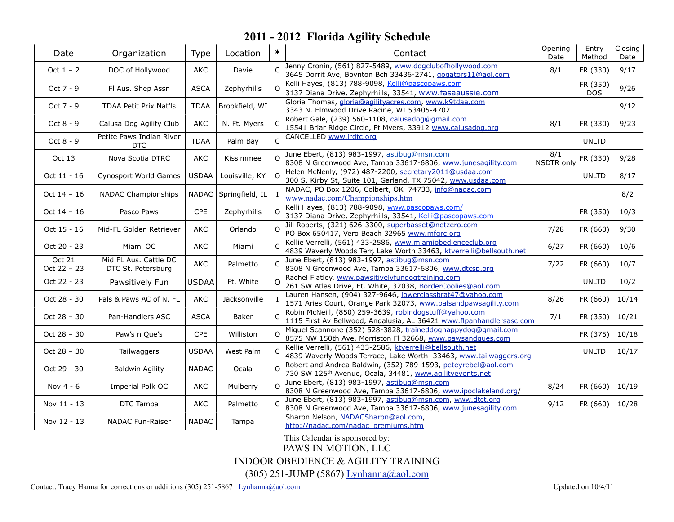| Date                  | Organization                                | Type         | Location        | $\ast$       | Contact                                                                                                                               | Opening<br>Date   | Entry<br>Method        | Closing<br>Date |
|-----------------------|---------------------------------------------|--------------|-----------------|--------------|---------------------------------------------------------------------------------------------------------------------------------------|-------------------|------------------------|-----------------|
| Oct $1 - 2$           | DOC of Hollywood                            | AKC          | Davie           | $\mathsf{C}$ | Jenny Cronin, (561) 827-5489, www.dogclubofhollywood.com<br>3645 Dorrit Ave, Boynton Bch 33436-2741, gogators11@aol.com               | 8/1               | FR (330)               | 9/17            |
| Oct $7 - 9$           | Fl Aus. Shep Assn                           | <b>ASCA</b>  | Zephyrhills     | $\Omega$     | Kelli Hayes, (813) 788-9098, Kelli@pascopaws.com<br>3137 Diana Drive, Zephyrhills, 33541, www.fasaaussie.com                          |                   | FR (350)<br><b>DOS</b> | 9/26            |
| Oct 7 - 9             | TDAA Petit Prix Nat'ls                      | <b>TDAA</b>  | Brookfield, WI  |              | Gloria Thomas, gloria@agilityacres.com, www.k9tdaa.com<br>3343 N. Elmwood Drive Racine, WI 53405-4702                                 |                   |                        | 9/12            |
| Oct 8 - 9             | Calusa Dog Agility Club                     | AKC          | N. Ft. Myers    |              | Robert Gale, (239) 560-1108, calusadog@gmail.com<br>15541 Briar Ridge Circle, Ft Myers, 33912 www.calusadog.org                       | 8/1               | FR (330)               | 9/23            |
| Oct 8 - 9             | Petite Paws Indian River<br><b>DTC</b>      | <b>TDAA</b>  | Palm Bay        | C            | CANCELLED www.irdtc.org                                                                                                               |                   | <b>UNLTD</b>           |                 |
| Oct 13                | Nova Scotia DTRC                            | AKC          | Kissimmee       | $\Omega$     | June Ebert, (813) 983-1997, astibug@msn.com<br>8308 N Greenwood Ave, Tampa 33617-6806, www.junesagility.com                           | 8/1<br>NSDTR only | FR (330)               | 9/28            |
| Oct 11 - 16           | Cynosport World Games                       | <b>USDAA</b> | Louisville, KY  | $\Omega$     | Helen McNenly, (972) 487-2200, secretary2011@usdaa.com<br>300 S. Kirby St, Suite 101, Garland, TX 75042, www.usdaa.com                |                   | <b>UNLTD</b>           | 8/17            |
| Oct $14 - 16$         | <b>NADAC Championships</b>                  | <b>NADAC</b> | Springfield, IL |              | NADAC, PO Box 1206, Colbert, OK 74733, info@nadac.com<br>www.nadac.com/Championships.htm                                              |                   |                        | 8/2             |
| Oct $14 - 16$         | Pasco Paws                                  | <b>CPE</b>   | Zephyrhills     | $\Omega$     | Kelli Hayes, (813) 788-9098, www.pascopaws.com/<br>3137 Diana Drive, Zephyrhills, 33541, Kelli@pascopaws.com                          |                   | FR (350)               | 10/3            |
| Oct 15 - 16           | Mid-FL Golden Retriever                     | <b>AKC</b>   | Orlando         | $\Omega$     | Jill Roberts, (321) 626-3300, superbasset@netzero.com<br>PO Box 650417, Vero Beach 32965 www.mfgrc.org                                | 7/28              | FR (660)               | 9/30            |
| Oct 20 - 23           | Miami OC                                    | <b>AKC</b>   | Miami           | $\mathsf{C}$ | Kellie Verrelli, (561) 433-2586, www.miamiobedienceclub.org<br>4839 Waverly Woods Terr, Lake Worth 33463, ktverrelli@bellsouth.net    | 6/27              | FR (660)               | 10/6            |
| Oct 21<br>Oct 22 - 23 | Mid FL Aus. Cattle DC<br>DTC St. Petersburg | AKC          | Palmetto        | $\mathsf{C}$ | June Ebert, (813) 983-1997, astibug@msn.com<br>8308 N Greenwood Ave, Tampa 33617-6806, www.dtcsp.org                                  | 7/22              | FR (660)               | 10/7            |
| Oct 22 - 23           | Pawsitively Fun                             | <b>USDAA</b> | Ft. White       | $\Omega$     | Rachel Flatley, www.pawsitivelyfundogtraining.com<br>261 SW Atlas Drive, Ft. White, 32038, BorderCoolies@aol.com                      |                   | <b>UNLTD</b>           | 10/2            |
| Oct 28 - 30           | Pals & Paws AC of N. FL                     | AKC          | Jacksonville    |              | Lauren Hansen, (904) 327-9646, lowerclassbrat47@yahoo.com<br>1571 Aries Court, Orange Park 32073, www.palsandpawsagility.com          | 8/26              | FR (660)               | 10/14           |
| Oct 28 - 30           | Pan-Handlers ASC                            | <b>ASCA</b>  | Baker           | $\mathsf{C}$ | Robin McNeill, (850) 259-3639, robindogstuff@yahoo.com<br>1115 First Av Bellwood, Andalusia, AL 36421 www.flpanhandlersasc.com        | 7/1               | FR (350)               | 10/21           |
| Oct 28 - 30           | Paw's n Que's                               | CPE          | Williston       | $\Omega$     | Miguel Scannone (352) 528-3828, traineddoghappydog@gmail.com<br>8575 NW 150th Ave. Morriston FI 32668, www.pawsandques.com            |                   | FR (375)               | 10/18           |
| Oct $28 - 30$         | Tailwaggers                                 | <b>USDAA</b> | West Palm       |              | Kellie Verrelli, (561) 433-2586, ktverrelli@bellsouth.net<br>4839 Waverly Woods Terrace, Lake Worth 33463, www.tailwaggers.org        |                   | <b>UNLTD</b>           | 10/17           |
| Oct 29 - 30           | <b>Baldwin Agility</b>                      | <b>NADAC</b> | Ocala           | $\Omega$     | Robert and Andrea Baldwin, (352) 789-1593, peteyrebel@aol.com<br>730 SW 125 <sup>th</sup> Avenue, Ocala, 34481, www.agilityevents.net |                   |                        |                 |
| Nov $4 - 6$           | Imperial Polk OC                            | <b>AKC</b>   | Mulberry        | $\Omega$     | June Ebert, (813) 983-1997, astibug@msn.com<br>8308 N Greenwood Ave, Tampa 33617-6806, www.ipoclakeland.org/                          | 8/24              | FR (660)               | 10/19           |
| Nov 11 - 13           | DTC Tampa                                   | AKC          | Palmetto        |              | June Ebert, (813) 983-1997, astibug@msn.com, www.dtct.org<br>8308 N Greenwood Ave, Tampa 33617-6806, www.junesagility.com             | 9/12              | FR (660)               | 10/28           |
| Nov 12 - 13           | <b>NADAC Fun-Raiser</b>                     | <b>NADAC</b> | Tampa           |              | Sharon Nelson, NADACSharon@aol.com,<br>http://nadac.com/nadac_premiums.htm                                                            |                   |                        |                 |

This Calendar is sponsored by:

PAWS IN MOTION, LLC

INDOOR OBEDIENCE & AGILITY TRAINING

(305) 251-JUMP (5867) [Lynhanna@aol.com](mailto:Lynhanna@aol.com)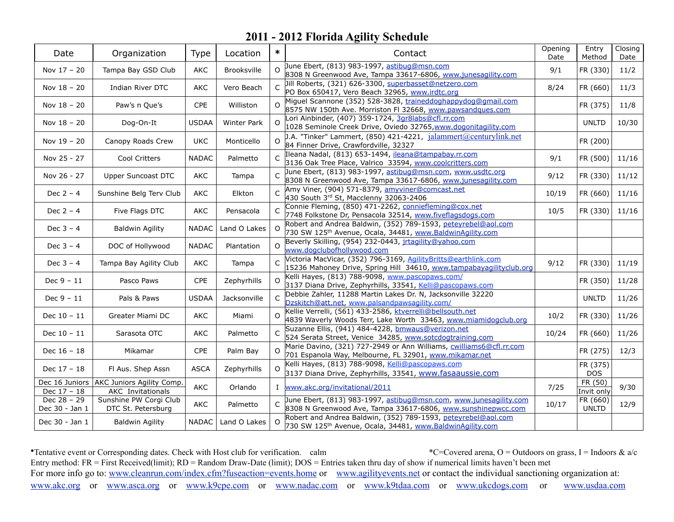| Date                            | Organization                                                           | Type         | Location           | $\ast$       | Contact                                                                                                                                | Opening<br>Date | Entry<br>Method          | Closing<br>Date |
|---------------------------------|------------------------------------------------------------------------|--------------|--------------------|--------------|----------------------------------------------------------------------------------------------------------------------------------------|-----------------|--------------------------|-----------------|
| Nov 17 - 20                     | Tampa Bay GSD Club                                                     | AKC          | Brooksville        | $\Omega$     | June Ebert, (813) 983-1997, astibug@msn.com<br>8308 N Greenwood Ave, Tampa 33617-6806, www.junesagility.com                            | 9/1             | FR (330)                 | 11/2            |
| Nov $18 - 20$                   | Indian River DTC                                                       | <b>AKC</b>   | Vero Beach         |              | Jill Roberts, (321) 626-3300, superbasset@netzero.com<br>PO Box 650417, Vero Beach 32965, www.irdtc.org                                | 8/24            | FR (660)                 | 11/3            |
| Nov 18 - 20                     | Paw's n Que's                                                          | CPE          | Williston          | $\Omega$     | Miguel Scannone (352) 528-3828, traineddoghappydog@gmail.com<br>8575 NW 150th Ave. Morriston FI 32668, www.pawsandques.com             |                 | FR (375)                 | 11/8            |
| Nov $18 - 20$                   | Dog-On-It                                                              | <b>USDAA</b> | <b>Winter Park</b> | $\Omega$     | Lori Ainbinder, (407) 359-1724, 3gr8labs@cfl.rr.com<br>1028 Seminole Creek Drive, Oviedo 32765, www.dogonitagility.com                 |                 | <b>UNLTD</b>             | 10/30           |
| Nov 19 - 20                     | Canopy Roads Crew                                                      | <b>UKC</b>   | Monticello         | O            | J.A. "Tinker" Lammert, (850) 421-4221, jalammert@centurylink.net<br>84 Finner Drive, Crawfordville, 32327                              |                 | FR (200)                 |                 |
| Nov 25 - 27                     | Cool Critters                                                          | <b>NADAC</b> | Palmetto           | $\subset$    | Ileana Nadal, (813) 653-1494, ileana@tampabay.rr.com<br>3136 Oak Tree Place, Valrico 33594, www.coolcritters.com                       | 9/1             | FR (500)                 | 11/16           |
| Nov 26 - 27                     | Upper Suncoast DTC                                                     | AKC          | Tampa              |              | June Ebert, (813) 983-1997, astibug@msn.com, www.usdtc.org<br>8308 N Greenwood Ave, Tampa 33617-6806, www.junesagility.com             | 9/12            | FR (330)                 | 11/12           |
| Dec $2 - 4$                     | Sunshine Belg Terv Club                                                | AKC          | Elkton             |              | Amy Viner, (904) 571-8379, amyviner@comcast.net<br>430 South 3rd St, Macclenny 32063-2406                                              | 10/19           | FR (660)                 | 11/16           |
| Dec $2 - 4$                     | Five Flags DTC                                                         | AKC          | Pensacola          |              | Connie Fleming, (850) 471-2262, conniefleming@cox.net<br>7748 Folkstone Dr, Pensacola 32514, www.fiveflagsdogs.com                     | 10/5            | FR (330)                 | 11/16           |
| Dec $3 - 4$                     | <b>Baldwin Agility</b>                                                 | <b>NADAC</b> | Land O Lakes       | $\Omega$     | Robert and Andrea Baldwin, (352) 789-1593, peteyrebel@aol.com<br>730 SW 125 <sup>th</sup> Avenue, Ocala, 34481, www.BaldwinAgility.com |                 |                          |                 |
| Dec $3 - 4$                     | DOC of Hollywood                                                       | <b>NADAC</b> | Plantation         | $\Omega$     | Beverly Skilling, (954) 232-0443, jrtagility@yahoo.com<br>www.dogclubofhollywood.com                                                   |                 |                          |                 |
| Dec $3 - 4$                     | Tampa Bay Agility Club                                                 | <b>AKC</b>   | Tampa              |              | Victoria MacVicar, (352) 796-3169, AgilityBritts@earthlink.com<br>15236 Mahoney Drive, Spring Hill 34610, www.tampabayagilityclub.org  | 9/12            | FR (330)                 | 11/19           |
| Dec $9 - 11$                    | Pasco Paws                                                             | <b>CPE</b>   | Zephyrhills        | $\Omega$     | Kelli Hayes, (813) 788-9098, www.pascopaws.com/<br>3137 Diana Drive, Zephyrhills, 33541, Kelli@pascopaws.com                           |                 | FR (350)                 | 11/28           |
| Dec $9 - 11$                    | Pals & Paws                                                            | <b>USDAA</b> | Jacksonville       | $\subset$    | Debbie Zahler, 11288 Martin Lakes Dr. N, Jacksonville 32220<br>Dzskitch@att.net, www.palsandpawsagility.com/                           |                 | <b>UNLTD</b>             | 11/26           |
| Dec $10 - 11$                   | Greater Miami DC                                                       | AKC          | Miami              |              | Kellie Verrelli, (561) 433-2586, ktverrelli@bellsouth.net<br>4839 Waverly Woods Terr, Lake Worth 33463, www.miamidogclub.org           | 10/2            | FR (330)                 | 11/26           |
| Dec $10 - 11$                   | Sarasota OTC                                                           | AKC          | Palmetto           | $\mathsf{C}$ | Suzanne Ellis, (941) 484-4228, bmwaus@verizon.net<br>524 Serata Street, Venice 34285, www.sotcdogtraining.com                          | 10/24           | FR (660)                 | 11/26           |
| Dec 16 - 18                     | Mikamar                                                                | <b>CPE</b>   | Palm Bay           |              | Marie Davino, (321) 727-2949 or Ann Williams, cwilliams6@cfl.rr.com<br>701 Espanola Way, Melbourne, FL 32901, www.mikamar.net          |                 | FR (275)                 | 12/3            |
| Dec 17 - 18                     | Fl Aus. Shep Assn                                                      | <b>ASCA</b>  | Zephyrhills        | $\Omega$     | Kelli Hayes, (813) 788-9098, Kelli@pascopaws.com<br>3137 Diana Drive, Zephyrhills, 33541, www.fasaaussie.com                           |                 | FR (375)<br><b>DOS</b>   |                 |
| Dec $17 - 18$                   | Dec 16 Juniors   AKC Juniors Agility Comp.<br><b>AKC</b> Invitationals | <b>AKC</b>   | Orlando            |              | I www.akc.org/invitational/2011                                                                                                        | 7/25            | FR (50)<br>Invit only    | 9/30            |
| Dec $28 - 29$<br>Dec 30 - Jan 1 | Sunshine PW Corgi Club<br>DTC St. Petersburg                           | AKC          | Palmetto           |              | June Ebert, (813) 983-1997, astibug@msn.com, www.junesagility.com<br>8308 N Greenwood Ave, Tampa 33617-6806, www.sunshinepwcc.com      | 10/17           | FR (660)<br><b>UNLTD</b> | 12/9            |
| Dec 30 - Jan 1                  | <b>Baldwin Agility</b>                                                 | <b>NADAC</b> | Land O Lakes       | $\Omega$     | Robert and Andrea Baldwin, (352) 789-1593, peteyrebel@aol.com<br>730 SW 125th Avenue, Ocala, 34481, www.BaldwinAgility.com             |                 |                          |                 |

•Tentative event or Corresponding dates. Check with Host club for verification. calm \*C=Covered arena, O = Outdoors on grass, I = Indoors & a/c Entry method: FR = First Received(limit); RD = Random Draw-Date (limit); DOS = Entries taken thru day of show if numerical limits haven't been met For more info go to: [www.cleanrun.com/index.cfm?fuseaction=events.home](http://www.cleanrun.com/index.cfm?fuseaction=events.home) or [www.agilityevents.net](http://www.agilityevents.net) or contact the individual sanctioning organization at: [www.akc.org](http://www.akc.org) or [www.asca.org](http://www.asca.org/events/eventcalender) or [www.k9cpe.com](http://www.k9cpe.com) or [www.nadac.com](http://www.nadac.com/afrm/trial-calendar.asp) or [www.k9tdaa.com](http://www.k9tdaa.com) or [www.ukcdogs.com](http://www.ukcdogs.com) or [www.usdaa.com](http://www.usdaa.com/events.cfm)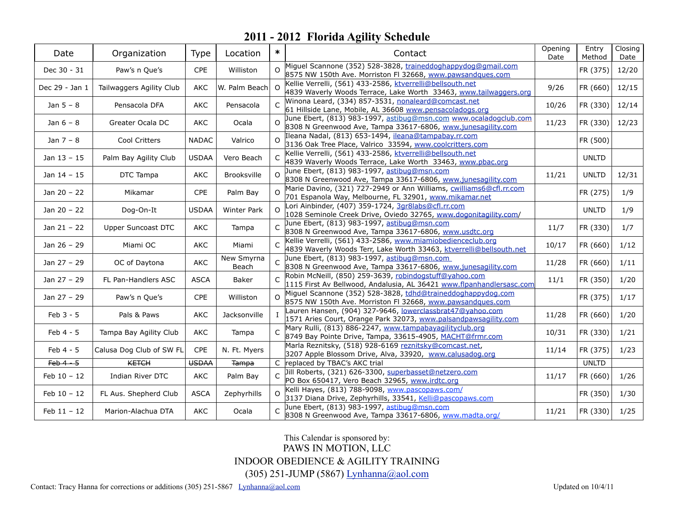| Date           | Organization             | Type         | Location            | $\ast$       | Contact                                                                                                                            | Opening<br>Date | Entry<br>Method | Closing<br>Date |
|----------------|--------------------------|--------------|---------------------|--------------|------------------------------------------------------------------------------------------------------------------------------------|-----------------|-----------------|-----------------|
| Dec 30 - 31    | Paw's n Que's            | CPE          | Williston           |              | Miguel Scannone (352) 528-3828, traineddoghappydog@gmail.com<br>8575 NW 150th Ave. Morriston FI 32668, www.pawsandques.com         |                 | FR (375)        | 12/20           |
| Dec 29 - Jan 1 | Tailwaggers Agility Club | AKC          | W. Palm Beach       | $\Omega$     | Kellie Verrelli, (561) 433-2586, ktverrelli@bellsouth.net<br>4839 Waverly Woods Terrace, Lake Worth 33463, www.tailwaggers.org     | 9/26            | FR (660)        | 12/15           |
| Jan $5 - 8$    | Pensacola DFA            | <b>AKC</b>   | Pensacola           | $\subset$    | Winona Leard, (334) 857-3531, nonaleard@comcast.net<br>61 Hillside Lane, Mobile, AL 36608 www.pensacoladogs.org                    | 10/26           | FR (330)        | 12/14           |
| Jan $6 - 8$    | Greater Ocala DC         | <b>AKC</b>   | Ocala               |              | June Ebert, (813) 983-1997, astibug@msn.com www.ocaladogclub.com<br>8308 N Greenwood Ave, Tampa 33617-6806, www.junesagility.com   | 11/23           | FR (330)        | 12/23           |
| Jan 7 - 8      | Cool Critters            | <b>NADAC</b> | Valrico             | $\Omega$     | Ileana Nadal, (813) 653-1494, ileana@tampabay.rr.com<br>3136 Oak Tree Place, Valrico 33594, www.coolcritters.com                   |                 | FR (500)        |                 |
| Jan $13 - 15$  | Palm Bay Agility Club    | <b>USDAA</b> | Vero Beach          |              | Kellie Verrelli, (561) 433-2586, ktverrelli@bellsouth.net<br>4839 Waverly Woods Terrace, Lake Worth 33463, www.pbac.org            |                 | <b>UNLTD</b>    |                 |
| Jan 14 - 15    | DTC Tampa                | <b>AKC</b>   | Brooksville         | $\Omega$     | June Ebert, (813) 983-1997, astibug@msn.com<br>8308 N Greenwood Ave, Tampa 33617-6806, www.junesagility.com                        | 11/21           | <b>UNLTD</b>    | 12/31           |
| Jan 20 - 22    | Mikamar                  | CPE          | Palm Bay            | $\Omega$     | Marie Davino, (321) 727-2949 or Ann Williams, cwilliams6@cfl.rr.com<br>701 Espanola Way, Melbourne, FL 32901, www.mikamar.net      |                 | FR (275)        | 1/9             |
| Jan 20 - 22    | Dog-On-It                | <b>USDAA</b> | <b>Winter Park</b>  | $\Omega$     | Lori Ainbinder, (407) 359-1724, 3gr8labs@cfl.rr.com<br>1028 Seminole Creek Drive, Oviedo 32765, www.dogonitagility.com/            |                 | <b>UNLTD</b>    | 1/9             |
| Jan $21 - 22$  | Upper Suncoast DTC       | AKC          | Tampa               |              | June Ebert, (813) 983-1997, astibug@msn.com<br>8308 N Greenwood Ave, Tampa 33617-6806, www.usdtc.org                               | 11/7            | FR (330)        | 1/7             |
| Jan 26 - 29    | Miami OC                 | <b>AKC</b>   | Miami               | C            | Kellie Verrelli, (561) 433-2586, www.miamiobedienceclub.org<br>4839 Waverly Woods Terr, Lake Worth 33463, ktverrelli@bellsouth.net | 10/17           | FR (660)        | 1/12            |
| Jan 27 - 29    | OC of Daytona            | <b>AKC</b>   | New Smyrna<br>Beach |              | June Ebert, (813) 983-1997, astibug@msn.com<br>8308 N Greenwood Ave, Tampa 33617-6806, www.junesagility.com                        | 11/28           | FR (660)        | 1/11            |
| Jan 27 - 29    | FL Pan-Handlers ASC      | <b>ASCA</b>  | Baker               |              | Robin McNeill, (850) 259-3639, robindogstuff@yahoo.com<br>1115 First Av Bellwood, Andalusia, AL 36421 www.flpanhandlersasc.com     | 11/1            | FR (350)        | 1/20            |
| Jan 27 - 29    | Paw's n Que's            | <b>CPE</b>   | Williston           |              | Miguel Scannone (352) 528-3828, tdhd@traineddoghappydog.com<br>8575 NW 150th Ave. Morriston FI 32668, www.pawsandques.com          |                 | FR (375)        | 1/17            |
| Feb 3 - 5      | Pals & Paws              | AKC          | Jacksonville        |              | Lauren Hansen, (904) 327-9646, lowerclassbrat47@yahoo.com<br>1571 Aries Court, Orange Park 32073, www.palsandpawsagility.com       | 11/28           | FR (660)        | 1/20            |
| Feb 4 - 5      | Tampa Bay Agility Club   | <b>AKC</b>   | Tampa               |              | Mary Rulli, (813) 886-2247, www.tampabayagilityclub.org<br>8749 Bay Pointe Drive, Tampa, 33615-4905, MACHT@frmr.com                | 10/31           | FR (330)        | 1/21            |
| Feb 4 - 5      | Calusa Dog Club of SW FL | CPE          | N. Ft. Myers        |              | Marla Reznitsky, (518) 928-6169 reznitsky@comcast.net,<br>3207 Apple Blossom Drive, Alva, 33920, www.calusadog.org                 | 11/14           | FR (375)        | 1/23            |
| $Feb$ 4 $-5$   | <b>KETCH</b>             | <b>USDAA</b> | <b>Tampa</b>        |              | C replaced by TBAC's AKC trial                                                                                                     |                 | <b>UNLTD</b>    |                 |
| $Feb 10 - 12$  | Indian River DTC         | <b>AKC</b>   | Palm Bay            | $\mathsf{C}$ | Jill Roberts, (321) 626-3300, superbasset@netzero.com<br>PO Box 650417, Vero Beach 32965, www.irdtc.org                            | 11/17           | FR (660)        | 1/26            |
| $Feb 10 - 12$  | FL Aus. Shepherd Club    | <b>ASCA</b>  | Zephyrhills         | $\Omega$     | Kelli Hayes, (813) 788-9098, www.pascopaws.com/<br>3137 Diana Drive, Zephyrhills, 33541, Kelli@pascopaws.com                       |                 | FR (350)        | 1/30            |
| Feb $11 - 12$  | Marion-Alachua DTA       | AKC          | Ocala               | C            | June Ebert, (813) 983-1997, astibug@msn.com<br>8308 N Greenwood Ave, Tampa 33617-6806, www.madta.org/                              | 11/21           | FR (330)        | 1/25            |

#### This Calendar is sponsored by: PAWS IN MOTION, LLC INDOOR OBEDIENCE & AGILITY TRAINING (305) 251-JUMP (5867) [Lynhanna@aol.com](mailto:Lynhanna@aol.com)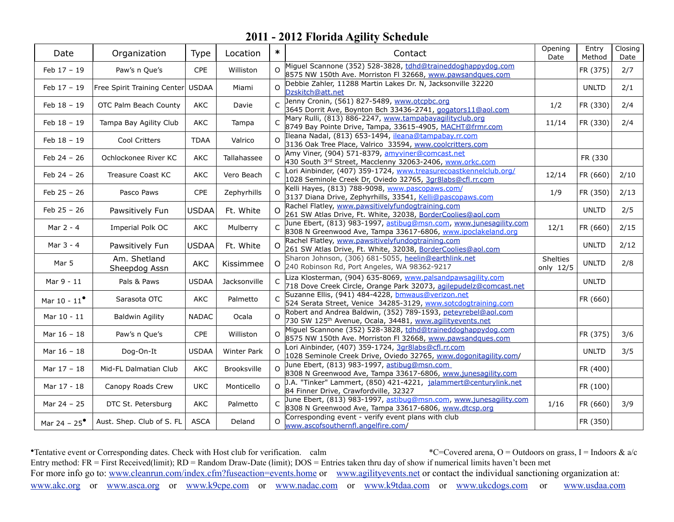| Date                  | Organization                  | Type         | Location           | $\ast$       | Contact                                                                                                                               | Opening<br>Date       | Entry<br>Method | Closing<br>Date |
|-----------------------|-------------------------------|--------------|--------------------|--------------|---------------------------------------------------------------------------------------------------------------------------------------|-----------------------|-----------------|-----------------|
| Feb 17 - 19           | Paw's n Que's                 | CPE          | Williston          | $\Omega$     | Miguel Scannone (352) 528-3828, tdhd@traineddoghappydog.com<br>8575 NW 150th Ave. Morriston FI 32668, www.pawsandques.com             |                       | FR (375)        | 2/7             |
| $Feb 17 - 19$         | Free Spirit Training Center   | <b>USDAA</b> | Miami              | $\Omega$     | Debbie Zahler, 11288 Martin Lakes Dr. N, Jacksonville 32220<br>Dzskitch@att.net                                                       |                       | <b>UNLTD</b>    | 2/1             |
| $Feb 18 - 19$         | OTC Palm Beach County         | <b>AKC</b>   | Davie              |              | Jenny Cronin, (561) 827-5489, www.otcpbc.org<br>3645 Dorrit Ave, Boynton Bch 33436-2741, gogators11@aol.com                           | 1/2                   | FR (330)        | 2/4             |
| Feb 18 - 19           | Tampa Bay Agility Club        | <b>AKC</b>   | Tampa              | $\mathsf{C}$ | Mary Rulli, (813) 886-2247, www.tampabayagilityclub.org<br>8749 Bay Pointe Drive, Tampa, 33615-4905, MACHT@frmr.com                   | 11/14                 | FR (330)        | 2/4             |
| Feb 18 - 19           | Cool Critters                 | <b>TDAA</b>  | Valrico            | $\Omega$     | Ileana Nadal, (813) 653-1494, ileana@tampabay.rr.com<br>3136 Oak Tree Place, Valrico 33594, www.coolcritters.com                      |                       |                 |                 |
| $Feb 24 - 26$         | Ochlockonee River KC          | <b>AKC</b>   | Tallahassee        |              | Amy Viner, (904) 571-8379, amyviner@comcast.net<br>430 South 3rd Street, Macclenny 32063-2406, www.orkc.com                           |                       | FR (330         |                 |
| Feb 24 - 26           | Treasure Coast KC             | AKC          | Vero Beach         |              | Lori Ainbinder, (407) 359-1724, www.treasurecoastkennelclub.org/<br>1028 Seminole Creek Dr, Oviedo 32765, 3gr8labs@cfl.rr.com         | 12/14                 | FR (660)        | 2/10            |
| Feb $25 - 26$         | Pasco Paws                    | CPE          | Zephyrhills        | $\Omega$     | Kelli Hayes, (813) 788-9098, www.pascopaws.com/<br>3137 Diana Drive, Zephyrhills, 33541, Kelli@pascopaws.com                          | 1/9                   | FR (350)        | 2/13            |
| Feb $25 - 26$         | Pawsitively Fun               | <b>USDAA</b> | Ft. White          | $\Omega$     | Rachel Flatley, www.pawsitivelyfundogtraining.com<br>261 SW Atlas Drive, Ft. White, 32038, BorderCoolies@aol.com                      |                       | <b>UNLTD</b>    | 2/5             |
| Mar 2 - 4             | Imperial Polk OC              | AKC          | Mulberry           |              | June Ebert, (813) 983-1997, astibug@msn.com, www.junesagility.com<br>8308 N Greenwood Ave, Tampa 33617-6806, www.ipoclakeland.org     | 12/1                  | FR (660)        | 2/15            |
| Mar 3 - 4             | Pawsitively Fun               | <b>USDAA</b> | Ft. White          | O            | Rachel Flatley, www.pawsitivelyfundogtraining.com<br>261 SW Atlas Drive, Ft. White, 32038, BorderCoolies@aol.com                      |                       | <b>UNLTD</b>    | 2/12            |
| Mar 5                 | Am. Shetland<br>Sheepdog Assn | <b>AKC</b>   | Kissimmee          | O            | Sharon Johnson, (306) 681-5055, heelin@earthlink.net<br>240 Robinson Rd, Port Angeles, WA 98362-9217                                  | Shelties<br>only 12/5 | <b>UNLTD</b>    | 2/8             |
| Mar 9 - 11            | Pals & Paws                   | <b>USDAA</b> | Jacksonville       | $\subset$    | Liza Klosterman, (904) 635-8069, www.palsandpawsagility.com<br>718 Dove Creek Circle, Orange Park 32073, agilepudelz@comcast.net      |                       | <b>UNLTD</b>    |                 |
| Mar $10 - 11^{\circ}$ | Sarasota OTC                  | AKC          | Palmetto           |              | Suzanne Ellis, (941) 484-4228, bmwaus@verizon.net<br>524 Serata Street, Venice 34285-3129, www.sotcdogtraining.com                    |                       | FR (660)        |                 |
| Mar 10 - 11           | <b>Baldwin Agility</b>        | <b>NADAC</b> | Ocala              |              | Robert and Andrea Baldwin, (352) 789-1593, peteyrebel@aol.com<br>730 SW 125 <sup>th</sup> Avenue, Ocala, 34481, www.agilityevents.net |                       |                 |                 |
| Mar 16 - 18           | Paw's n Que's                 | <b>CPE</b>   | Williston          | $\Omega$     | Miguel Scannone (352) 528-3828, tdhd@traineddoghappydog.com<br>8575 NW 150th Ave. Morriston FI 32668, www.pawsandques.com             |                       | FR (375)        | 3/6             |
| Mar 16 - 18           | Dog-On-It                     | <b>USDAA</b> | <b>Winter Park</b> | $\Omega$     | Lori Ainbinder, (407) 359-1724, 3gr8labs@cfl.rr.com<br>1028 Seminole Creek Drive, Oviedo 32765, www.dogonitagility.com/               |                       | <b>UNLTD</b>    | 3/5             |
| Mar 17 - 18           | Mid-FL Dalmatian Club         | AKC          | Brooksville        | $\Omega$     | June Ebert, (813) 983-1997, astibug@msn.com<br>8308 N Greenwood Ave, Tampa 33617-6806, www.junesagility.com                           |                       | FR (400)        |                 |
| Mar 17 - 18           | Canopy Roads Crew             | <b>UKC</b>   | Monticello         |              | J.A. "Tinker" Lammert, (850) 421-4221, jalammert@centurylink.net<br>84 Finner Drive, Crawfordville, 32327                             |                       | FR (100)        |                 |
| Mar 24 - 25           | DTC St. Petersburg            | AKC          | Palmetto           |              | June Ebert, (813) 983-1997, astibug@msn.com, www.junesagility.com<br>8308 N Greenwood Ave, Tampa 33617-6806, www.dtcsp.org            | 1/16                  | FR (660)        | 3/9             |
| Mar 24 - $25^{\circ}$ | Aust. Shep. Club of S. FL     | <b>ASCA</b>  | Deland             | $\Omega$     | Corresponding event - verify event plans with club<br>www.ascofsouthernfl.angelfire.com/                                              |                       | FR (350)        |                 |

•Tentative event or Corresponding dates. Check with Host club for verification. calm \*C=Covered arena, O = Outdoors on grass, I = Indoors & a/c Entry method: FR = First Received(limit); RD = Random Draw-Date (limit); DOS = Entries taken thru day of show if numerical limits haven't been met For more info go to: [www.cleanrun.com/index.cfm?fuseaction=events.home](http://www.cleanrun.com/index.cfm?fuseaction=events.home) or [www.agilityevents.net](http://www.agilityevents.net) or contact the individual sanctioning organization at: [www.akc.org](http://www.akc.org) or [www.asca.org](http://www.asca.org/events/eventcalender) or [www.k9cpe.com](http://www.k9cpe.com) or [www.nadac.com](http://www.nadac.com/afrm/trial-calendar.asp) or [www.k9tdaa.com](http://www.k9tdaa.com) or [www.ukcdogs.com](http://www.ukcdogs.com) or [www.usdaa.com](http://www.usdaa.com/events.cfm)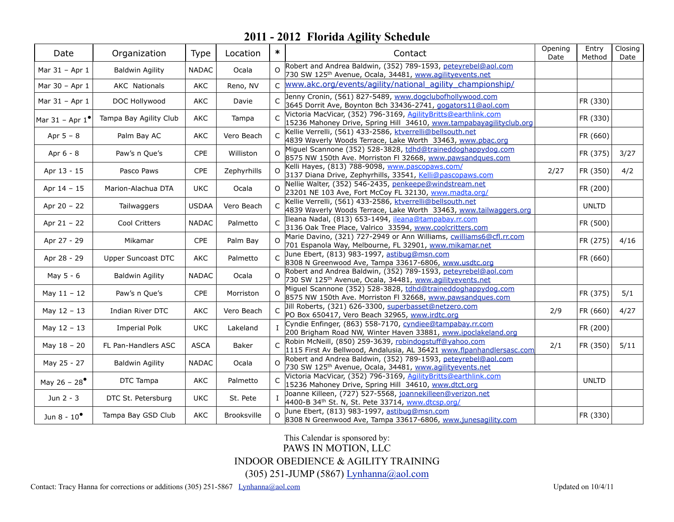| Date                                        | Organization              | Type         | Location     | $\ast$       | Contact                                                                                                                               | Opening<br>Date | Entry<br>Method | Closing<br>Date |
|---------------------------------------------|---------------------------|--------------|--------------|--------------|---------------------------------------------------------------------------------------------------------------------------------------|-----------------|-----------------|-----------------|
| Mar 31 - Apr 1                              | <b>Baldwin Agility</b>    | <b>NADAC</b> | Ocala        | $\Omega$     | Robert and Andrea Baldwin, (352) 789-1593, peteyrebel@aol.com<br>730 SW 125 <sup>th</sup> Avenue, Ocala, 34481, www.agilityevents.net |                 |                 |                 |
| Mar 30 - Apr 1                              | <b>AKC Nationals</b>      | <b>AKC</b>   | Reno, NV     | $\mathsf{C}$ | www.akc.org/events/agility/national agility championship/                                                                             |                 |                 |                 |
| Mar 31 - Apr 1                              | DOC Hollywood             | AKC          | Davie        | $\subset$    | Jenny Cronin, (561) 827-5489, www.dogclubofhollywood.com<br>3645 Dorrit Ave, Boynton Bch 33436-2741, gogators11@aol.com               |                 | FR (330)        |                 |
| Mar $31 -$ Apr $1'$                         | Tampa Bay Agility Club    | <b>AKC</b>   | Tampa        |              | Victoria MacVicar, (352) 796-3169, AgilityBritts@earthlink.com<br>15236 Mahoney Drive, Spring Hill 34610, www.tampabayagilityclub.org |                 | FR (330)        |                 |
| Apr $5 - 8$                                 | Palm Bay AC               | AKC          | Vero Beach   | $\mathsf{C}$ | Kellie Verrelli, (561) 433-2586, ktverrelli@bellsouth.net<br>4839 Waverly Woods Terrace, Lake Worth 33463, www.pbac.org               |                 | FR (660)        |                 |
| Apr 6 - 8                                   | Paw's n Que's             | <b>CPE</b>   | Williston    |              | Miguel Scannone (352) 528-3828, tdhd@traineddoghappydog.com<br>8575 NW 150th Ave. Morriston FI 32668, www.pawsandques.com             |                 | FR (375)        | 3/27            |
| Apr 13 - 15                                 | Pasco Paws                | CPE          | Zephyrhills  | $\Omega$     | Kelli Hayes, (813) 788-9098, www.pascopaws.com/<br>3137 Diana Drive, Zephyrhills, 33541, Kelli@pascopaws.com                          | 2/27            | FR (350)        | 4/2             |
| Apr 14 - 15                                 | Marion-Alachua DTA        | <b>UKC</b>   | Ocala        |              | Nellie Walter, (352) 546-2435, penkeepe@windstream.net<br>23201 NE 103 Ave, Fort McCoy FL 32130, www.madta.org/                       |                 | FR (200)        |                 |
| Apr 20 - 22                                 | Tailwaggers               | <b>USDAA</b> | Vero Beach   | C            | Kellie Verrelli, (561) 433-2586, ktverrelli@bellsouth.net<br>4839 Waverly Woods Terrace, Lake Worth 33463, www.tailwaggers.org        |                 | <b>UNLTD</b>    |                 |
| Apr $21 - 22$                               | Cool Critters             | <b>NADAC</b> | Palmetto     |              | Ileana Nadal, (813) 653-1494, ileana@tampabay.rr.com<br>3136 Oak Tree Place, Valrico 33594, www.coolcritters.com                      |                 | FR (500)        |                 |
| Apr 27 - 29                                 | Mikamar                   | CPE          | Palm Bay     | $\Omega$     | Marie Davino, (321) 727-2949 or Ann Williams, cwilliams6@cfl.rr.com<br>701 Espanola Way, Melbourne, FL 32901, www.mikamar.net         |                 | FR (275)        | 4/16            |
| Apr 28 - 29                                 | <b>Upper Suncoast DTC</b> | AKC          | Palmetto     | $\mathsf{C}$ | June Ebert, (813) 983-1997, astibug@msn.com<br>8308 N Greenwood Ave, Tampa 33617-6806, www.usdtc.org                                  |                 | FR (660)        |                 |
| May 5 - 6                                   | <b>Baldwin Agility</b>    | <b>NADAC</b> | Ocala        | $\Omega$     | Robert and Andrea Baldwin, (352) 789-1593, peteyrebel@aol.com<br>730 SW 125 <sup>th</sup> Avenue, Ocala, 34481, www.agilityevents.net |                 |                 |                 |
| May $11 - 12$                               | Paw's n Que's             | CPE          | Morriston    | $\Omega$     | Miguel Scannone (352) 528-3828, tdhd@traineddoghappydog.com<br>8575 NW 150th Ave. Morriston FI 32668, www.pawsandques.com             |                 | FR (375)        | 5/1             |
| May $12 - 13$                               | Indian River DTC          | <b>AKC</b>   | Vero Beach   |              | Jill Roberts, (321) 626-3300, superbasset@netzero.com<br>PO Box 650417, Vero Beach 32965, www.irdtc.org                               | 2/9             | FR (660)        | 4/27            |
| May $12 - 13$                               | <b>Imperial Polk</b>      | <b>UKC</b>   | Lakeland     |              | Cyndie Enfinger, (863) 558-7170, cyndiee@tampabay.rr.com<br>200 Brigham Road NW, Winter Haven 33881, www.ipoclakeland.org             |                 | FR (200)        |                 |
| May $18 - 20$                               | FL Pan-Handlers ASC       | <b>ASCA</b>  | <b>Baker</b> |              | Robin McNeill, (850) 259-3639, robindogstuff@yahoo.com<br>1115 First Av Bellwood, Andalusia, AL 36421 www.flpanhandlersasc.com        | 2/1             | FR (350)        | 5/11            |
| May 25 - 27                                 | <b>Baldwin Agility</b>    | <b>NADAC</b> | Ocala        | $\Omega$     | Robert and Andrea Baldwin, (352) 789-1593, peteyrebel@aol.com<br>730 SW 125 <sup>th</sup> Avenue, Ocala, 34481, www.agilityevents.net |                 |                 |                 |
| May 26 - 28 <sup><math>\bullet</math></sup> | DTC Tampa                 | AKC          | Palmetto     | $\mathsf{C}$ | Victoria MacVicar, (352) 796-3169, Agility Britts@earthlink.com<br>15236 Mahoney Drive, Spring Hill 34610, www.dtct.org               |                 | <b>UNLTD</b>    |                 |
| Jun 2 - 3                                   | DTC St. Petersburg        | <b>UKC</b>   | St. Pete     |              | Joanne Killeen, (727) 527-5568, joannekilleen@verizon.net<br>4400-B 34th St. N, St. Pete 33714, www.dtcsp.org/                        |                 |                 |                 |
| Jun 8 - $10^{\circ}$                        | Tampa Bay GSD Club        | AKC          | Brooksville  |              | June Ebert, (813) 983-1997, astibug@msn.com<br>8308 N Greenwood Ave, Tampa 33617-6806, www.junesagility.com                           |                 | FR (330)        |                 |

This Calendar is sponsored by: PAWS IN MOTION, LLC INDOOR OBEDIENCE & AGILITY TRAINING (305) 251-JUMP (5867) [Lynhanna@aol.com](mailto:Lynhanna@aol.com)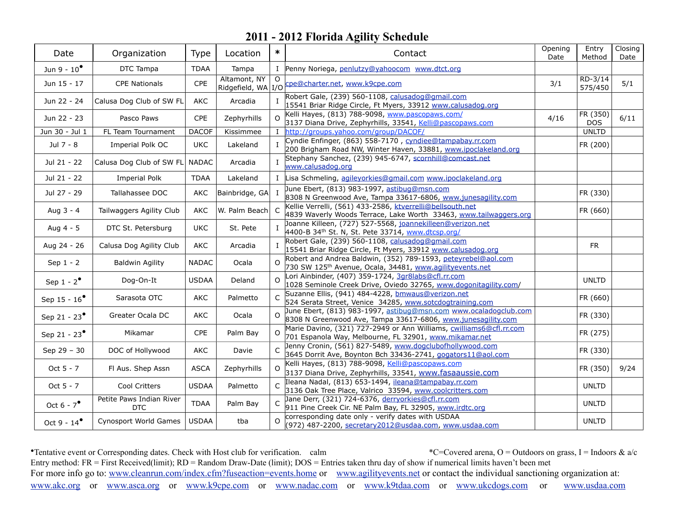| Date                     | Organization                           | Type         | Location       | $\ast$         | Contact                                                                                                                               | Opening<br>Date | Entry<br>Method    | Closing<br>Date |
|--------------------------|----------------------------------------|--------------|----------------|----------------|---------------------------------------------------------------------------------------------------------------------------------------|-----------------|--------------------|-----------------|
| Jun 9 - $10^{\circ}$     | DTC Tampa                              | <b>TDAA</b>  | Tampa          |                | I Penny Noriega, penlutzy@yahoocom www.dtct.org                                                                                       |                 |                    |                 |
| Jun 15 - 17              | <b>CPE Nationals</b>                   | CPE          | Altamont, NY   |                | Ridgefield, WA I/O Cpe@charter.net, www.k9cpe.com                                                                                     | 3/1             | RD-3/14<br>575/450 | 5/1             |
| Jun 22 - 24              | Calusa Dog Club of SW FL               | AKC          | Arcadia        | $\mathbf{I}$   | Robert Gale, (239) 560-1108, calusadog@gmail.com<br>15541 Briar Ridge Circle, Ft Myers, 33912 www.calusadog.org                       |                 |                    |                 |
| Jun 22 - 23              | Pasco Paws                             | <b>CPE</b>   | Zephyrhills    | $\Omega$       | Kelli Hayes, (813) 788-9098, www.pascopaws.com/<br>3137 Diana Drive, Zephyrhills, 33541, Kelli@pascopaws.com                          | 4/16            | FR (350)<br>DOS.   | 6/11            |
| Jun 30 - Jul 1           | FL Team Tournament                     | <b>DACOF</b> | Kissimmee      | L              | http://groups.yahoo.com/group/DACOF/                                                                                                  |                 | <b>UNLTD</b>       |                 |
| Jul 7 - 8                | Imperial Polk OC                       | <b>UKC</b>   | Lakeland       |                | Cyndie Enfinger, (863) 558-7170, cyndiee@tampabay.rr.com<br>200 Brigham Road NW, Winter Haven, 33881, www.ipoclakeland.org            |                 | FR (200)           |                 |
| Jul 21 - 22              | Calusa Dog Club of SW FL               | <b>NADAC</b> | Arcadia        | $\mathbf{I}$   | Stephany Sanchez, (239) 945-6747, scornhill@comcast.net<br>www.calusadog.org                                                          |                 |                    |                 |
| Jul 21 - 22              | Imperial Polk                          | <b>TDAA</b>  | Lakeland       |                | I Lisa Schmeling, agileyorkies@gmail.com www.ipoclakeland.org                                                                         |                 |                    |                 |
| Jul 27 - 29              | Tallahassee DOC                        | AKC          | Bainbridge, GA | $\mathbf{I}$   | June Ebert, (813) 983-1997, astibug@msn.com<br>8308 N Greenwood Ave, Tampa 33617-6806, www.junesagility.com                           |                 | FR (330)           |                 |
| Aug 3 - 4                | Tailwaggers Agility Club               | AKC          | W. Palm Beach  | $\mathsf{C}$   | Kellie Verrelli, (561) 433-2586, ktverrelli@bellsouth.net<br>4839 Waverly Woods Terrace, Lake Worth 33463, www.tailwaggers.org        |                 | FR (660)           |                 |
| Aug 4 - 5                | DTC St. Petersburg                     | <b>UKC</b>   | St. Pete       |                | Joanne Killeen, (727) 527-5568, joannekilleen@verizon.net<br>4400-B 34th St. N, St. Pete 33714, www.dtcsp.org/                        |                 |                    |                 |
| Aug 24 - 26              | Calusa Dog Agility Club                | AKC          | Arcadia        | $\mathbf{I}$   | Robert Gale, (239) 560-1108, calusadog@gmail.com<br>15541 Briar Ridge Circle, Ft Myers, 33912 www.calusadog.org                       |                 | <b>FR</b>          |                 |
| Sep $1 - 2$              | <b>Baldwin Agility</b>                 | <b>NADAC</b> | Ocala          | $\Omega$       | Robert and Andrea Baldwin, (352) 789-1593, peteyrebel@aol.com<br>730 SW 125 <sup>th</sup> Avenue, Ocala, 34481, www.agilityevents.net |                 |                    |                 |
| Sep $1 - 2^{\bullet}$    | Dog-On-It                              | <b>USDAA</b> | Deland         | $\Omega$       | Lori Ainbinder, (407) 359-1724, 3gr8labs@cfl.rr.com<br>1028 Seminole Creek Drive, Oviedo 32765, www.dogonitagility.com/               |                 | <b>UNLTD</b>       |                 |
| Sep 15 - $16^{\circ}$    | Sarasota OTC                           | AKC          | Palmetto       | $\mathsf{C}$   | Suzanne Ellis, (941) 484-4228, bmwaus@verizon.net<br>524 Serata Street, Venice 34285, www.sotcdogtraining.com                         |                 | FR (660)           |                 |
| Sep 21 - 23 <sup>°</sup> | Greater Ocala DC                       | AKC          | Ocala          |                | June Ebert, (813) 983-1997, astibug@msn.com www.ocaladogclub.com<br>8308 N Greenwood Ave, Tampa 33617-6806, www.junesagility.com      |                 | FR (330)           |                 |
| Sep 21 - $23^{\bullet}$  | Mikamar                                | CPE          | Palm Bay       | $\Omega$       | Marie Davino, (321) 727-2949 or Ann Williams, cwilliams6@cfl.rr.com<br>701 Espanola Way, Melbourne, FL 32901, www.mikamar.net         |                 | FR (275)           |                 |
| Sep 29 - 30              | DOC of Hollywood                       | AKC          | Davie          |                | Jenny Cronin, (561) 827-5489, www.dogclubofhollywood.com<br>3645 Dorrit Ave, Boynton Bch 33436-2741, gogators11@aol.com               |                 | FR (330)           |                 |
| Oct $5 - 7$              | Fl Aus. Shep Assn                      | <b>ASCA</b>  | Zephyrhills    | $\Omega$       | Kelli Hayes, (813) 788-9098, Kelli@pascopaws.com<br>3137 Diana Drive, Zephyrhills, 33541, www.fasaaussie.com                          |                 | FR (350)           | 9/24            |
| Oct 5 - 7                | Cool Critters                          | <b>USDAA</b> | Palmetto       | $\mathsf{C}$   | Ileana Nadal, (813) 653-1494, ileana@tampabay.rr.com<br>3136 Oak Tree Place, Valrico 33594, www.coolcritters.com                      |                 | <b>UNLTD</b>       |                 |
| Oct $6 - 7^{\circ}$      | Petite Paws Indian River<br><b>DTC</b> | <b>TDAA</b>  | Palm Bay       | $\overline{C}$ | Jane Derr, (321) 724-6376, derryorkies@cfl.rr.com<br>911 Pine Creek Cir. NE Palm Bay, FL 32905, www.irdtc.org                         |                 | <b>UNLTD</b>       |                 |
| Oct 9 - $14^{\circ}$     | <b>Cynosport World Games</b>           | <b>USDAA</b> | tba            | $\Omega$       | corresponding date only - verify dates with USDAA<br>(972) 487-2200, secretary2012@usdaa.com, www.usdaa.com                           |                 | <b>UNLTD</b>       |                 |

•Tentative event or Corresponding dates. Check with Host club for verification. calm \*C=Covered arena, O = Outdoors on grass, I = Indoors & a/c Entry method: FR = First Received(limit); RD = Random Draw-Date (limit); DOS = Entries taken thru day of show if numerical limits haven't been met For more info go to: [www.cleanrun.com/index.cfm?fuseaction=events.home](http://www.cleanrun.com/index.cfm?fuseaction=events.home) or [www.agilityevents.net](http://www.agilityevents.net) or contact the individual sanctioning organization at: [www.akc.org](http://www.akc.org) or [www.asca.org](http://www.asca.org/events/eventcalender) or [www.k9cpe.com](http://www.k9cpe.com) or [www.nadac.com](http://www.nadac.com/afrm/trial-calendar.asp) or [www.k9tdaa.com](http://www.k9tdaa.com) or [www.ukcdogs.com](http://www.ukcdogs.com) or [www.usdaa.com](http://www.usdaa.com/events.cfm)